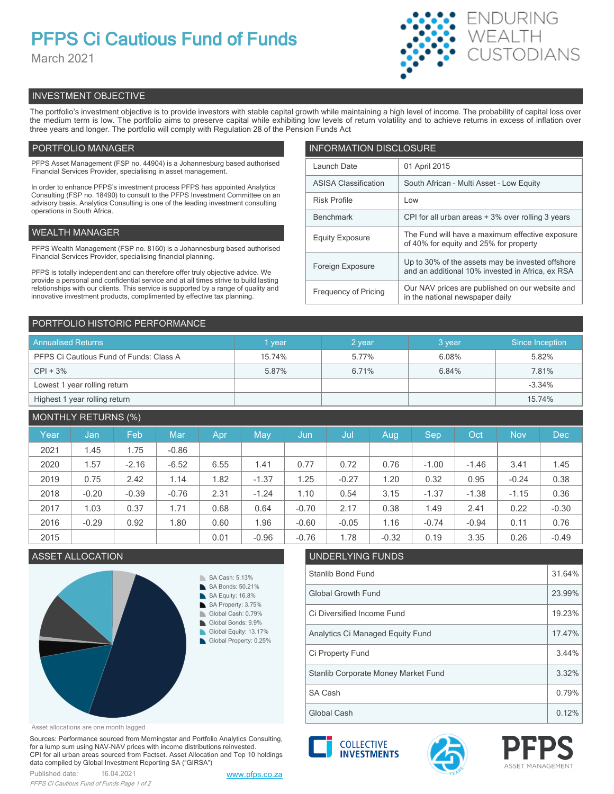# **PFPS Ci Cautious Fund of Funds**

March 2021



# INVESTMENT OBJECTIVE

The portfolio's investment objective is to provide investors with stable capital growth while maintaining a high level of income. The probability of capital loss over the medium term is low. The portfolio aims to preserve capital while exhibiting low levels of return volatility and to achieve returns in excess of inflation over three years and longer. The portfolio will comply with Regulation 28 of the Pension Funds Act

# PORTFOLIO MANAGER

PFPS Asset Management (FSP no. 44904) is a Johannesburg based authorised Financial Services Provider, specialising in asset management.

In order to enhance PFPS's investment process PFPS has appointed Analytics Consulting (FSP no. 18490) to consult to the PFPS Investment Committee on an advisory basis. Analytics Consulting is one of the leading investment consulting operations in South Africa.

# WEALTH MANAGER

PFPS Wealth Management (FSP no. 8160) is a Johannesburg based authorised Financial Services Provider, specialising financial planning.

PFPS is totally independent and can therefore offer truly objective advice. We provide a personal and confidential service and at all times strive to build lasting relationships with our clients. This service is supported by a range of quality and innovative investment products, complimented by effective tax planning.

| <b>INFORMATION DISCLOSURE</b> |                                                                                                      |  |  |  |  |  |
|-------------------------------|------------------------------------------------------------------------------------------------------|--|--|--|--|--|
| Launch Date                   | 01 April 2015                                                                                        |  |  |  |  |  |
| <b>ASISA Classification</b>   | South African - Multi Asset - Low Equity                                                             |  |  |  |  |  |
| <b>Risk Profile</b>           | Low                                                                                                  |  |  |  |  |  |
| <b>Benchmark</b>              | CPI for all urban areas + 3% over rolling 3 years                                                    |  |  |  |  |  |
| <b>Equity Exposure</b>        | The Fund will have a maximum effective exposure<br>of 40% for equity and 25% for property            |  |  |  |  |  |
| Foreign Exposure              | Up to 30% of the assets may be invested offshore<br>and an additional 10% invested in Africa, ex RSA |  |  |  |  |  |
| <b>Frequency of Pricing</b>   | Our NAV prices are published on our website and<br>in the national newspaper daily                   |  |  |  |  |  |

# PORTFOLIO HISTORIC PERFORMANCE

| <b>Annualised Returns</b>               | year   | 2 year | 3 year | Since Inception |  |
|-----------------------------------------|--------|--------|--------|-----------------|--|
| PFPS Ci Cautious Fund of Funds: Class A | 15.74% | 5.77%  | 6.08%  | 5.82%           |  |
| $CPI + 3%$                              | 5.87%  | 6.71%  | 6.84%  | 7.81%           |  |
| Lowest 1 year rolling return            |        |        |        | $-3.34%$        |  |
| Highest 1 year rolling return           |        |        |        | 15.74%          |  |

# MONTHLY RETURNS (%)

| Year | Jan     | Feb     | Mar     | Apr  | May     | Jun     | Jul     | Aug     | <b>Sep</b> | Oct     | <b>Nov</b> | <b>Dec</b> |
|------|---------|---------|---------|------|---------|---------|---------|---------|------------|---------|------------|------------|
| 2021 | 1.45    | 1.75    | $-0.86$ |      |         |         |         |         |            |         |            |            |
| 2020 | 1.57    | $-2.16$ | $-6.52$ | 6.55 | 1.41    | 0.77    | 0.72    | 0.76    | $-1.00$    | $-1.46$ | 3.41       | 1.45       |
| 2019 | 0.75    | 2.42    | 1.14    | 1.82 | $-1.37$ | 1.25    | $-0.27$ | 1.20    | 0.32       | 0.95    | $-0.24$    | 0.38       |
| 2018 | $-0.20$ | $-0.39$ | $-0.76$ | 2.31 | $-1.24$ | 1.10    | 0.54    | 3.15    | $-1.37$    | $-1.38$ | $-1.15$    | 0.36       |
| 2017 | 1.03    | 0.37    | 1.71    | 0.68 | 0.64    | $-0.70$ | 2.17    | 0.38    | 1.49       | 2.41    | 0.22       | $-0.30$    |
| 2016 | $-0.29$ | 0.92    | 1.80    | 0.60 | 1.96    | $-0.60$ | $-0.05$ | 1.16    | $-0.74$    | $-0.94$ | 0.11       | 0.76       |
| 2015 |         |         |         | 0.01 | $-0.96$ | $-0.76$ | 1.78    | $-0.32$ | 0.19       | 3.35    | 0.26       | $-0.49$    |

## ASSET ALLOCATION UNDERLYING FUNDS



# Stanlib Bond Fund 31.64% Global Growth Fund 23.99% Ci Diversified Income Fund 19.23% Analytics Ci Managed Equity Fund 17.47%

Ci Property Fund 3.44% Global Cash **1.12%** Clobal Cash **1.12%** SA Cash 2012 2013 2014 2015 2016 2021 2022 2023 2024 2022 2023 2024 2022 2023 2024 2022 2023 2024 2022 2023 20 Stanlib Corporate Money Market Fund 3.32%

Asset allocations are one month lagged

Sources: Performance sourced from Morningstar and Portfolio Analytics Consulting, for a lump sum using NAV-NAV prices with income distributions reinvested. CPI for all urban areas sourced from Factset. Asset Allocation and Top 10 holdings data compiled by Global Investment Reporting SA ("GIRSA")